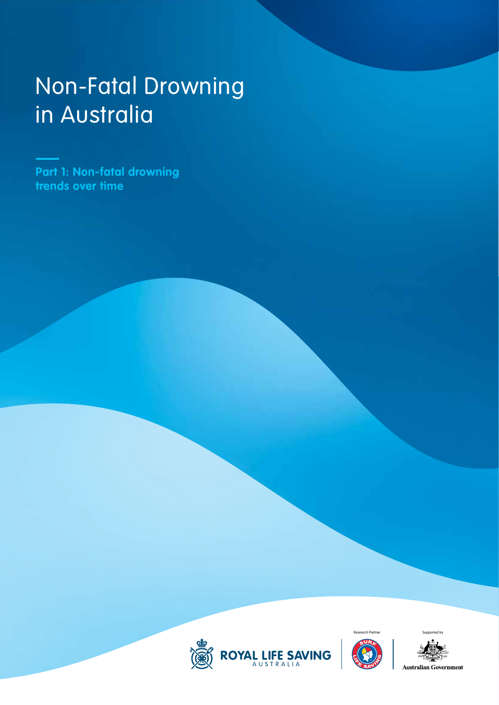# Non-Fatal Drowning in Australia

**Part 1: Non-fatal drowning trends over time**





**Australian Government**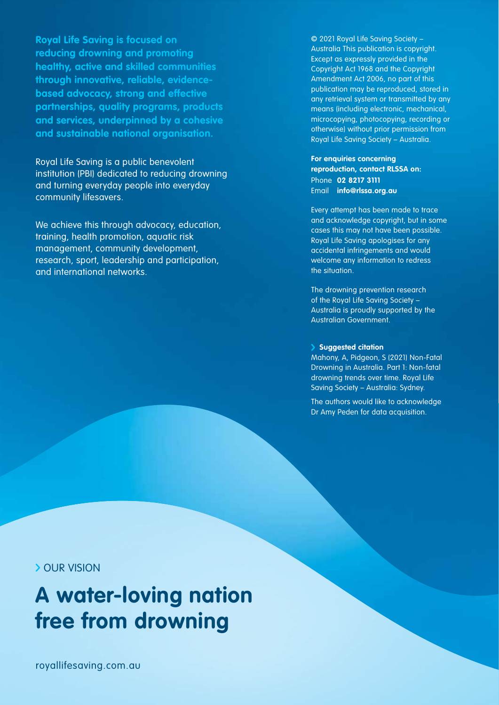**Royal Life Saving is focused on reducing drowning and promoting healthy, active and skilled communities through innovative, reliable, evidencebased advocacy, strong and effective partnerships, quality programs, products and services, underpinned by a cohesive and sustainable national organisation.**

Royal Life Saving is a public benevolent institution (PBI) dedicated to reducing drowning and turning everyday people into everyday community lifesavers.

We achieve this through advocacy, education, training, health promotion, aquatic risk management, community development, research, sport, leadership and participation, and international networks.

© 2021 Royal Life Saving Society – Australia This publication is copyright. Except as expressly provided in the Copyright Act 1968 and the Copyright Amendment Act 2006, no part of this publication may be reproduced, stored in any retrieval system or transmitted by any means (including electronic, mechanical, microcopying, photocopying, recording or otherwise) without prior permission from Royal Life Saving Society – Australia.

**For enquiries concerning reproduction, contact RLSSA on:** Phone **02 8217 3111** Email **info@rlssa.org.au** 

Every attempt has been made to trace and acknowledge copyright, but in some cases this may not have been possible. Royal Life Saving apologises for any accidental infringements and would welcome any information to redress the situation.

The drowning prevention research of the Royal Life Saving Society – Australia is proudly supported by the Australian Government.

#### **Suggested citation**

Mahony, A, Pidgeon, S (2021) Non-Fatal Drowning in Australia. Part 1: Non-fatal drowning trends over time. Royal Life Saving Society – Australia: Sydney.

The authors would like to acknowledge Dr Amy Peden for data acquisition.

## **> OUR VISION**

# **A water-loving nation free from drowning**

royallifesaving.com.au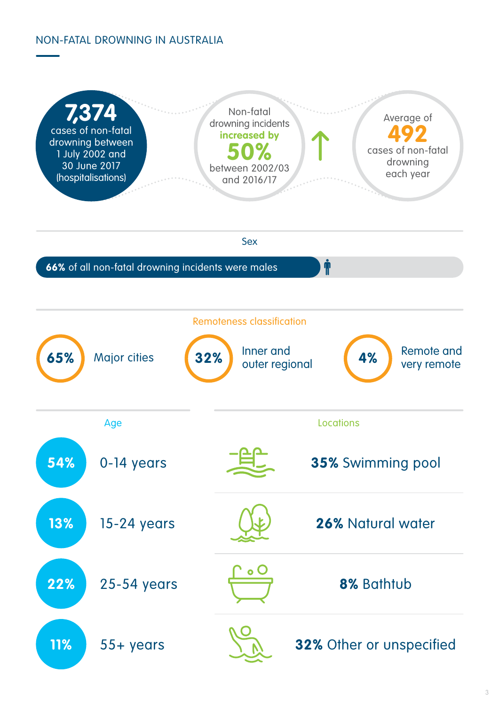# NON-FATAL DROWNING IN AUSTRALIA

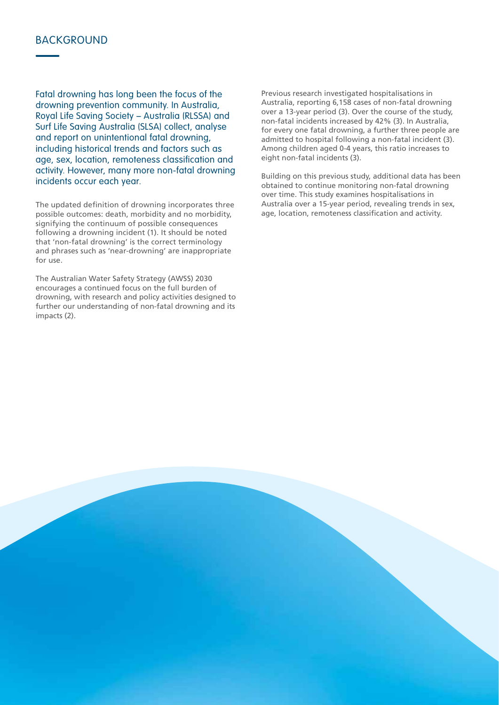# **BACKGROUND**

Fatal drowning has long been the focus of the drowning prevention community. In Australia, Royal Life Saving Society – Australia (RLSSA) and Surf Life Saving Australia (SLSA) collect, analyse and report on unintentional fatal drowning, including historical trends and factors such as age, sex, location, remoteness classification and activity. However, many more non-fatal drowning incidents occur each year.

The updated definition of drowning incorporates three possible outcomes: death, morbidity and no morbidity, signifying the continuum of possible consequences following a drowning incident (1). It should be noted that 'non-fatal drowning' is the correct terminology and phrases such as 'near-drowning' are inappropriate for use.

The Australian Water Safety Strategy (AWSS) 2030 encourages a continued focus on the full burden of drowning, with research and policy activities designed to further our understanding of non-fatal drowning and its impacts (2).

Previous research investigated hospitalisations in Australia, reporting 6,158 cases of non-fatal drowning over a 13-year period (3). Over the course of the study, non-fatal incidents increased by 42% (3). In Australia, for every one fatal drowning, a further three people are admitted to hospital following a non-fatal incident (3). Among children aged 0-4 years, this ratio increases to eight non-fatal incidents (3).

Building on this previous study, additional data has been obtained to continue monitoring non-fatal drowning over time. This study examines hospitalisations in Australia over a 15-year period, revealing trends in sex, age, location, remoteness classification and activity.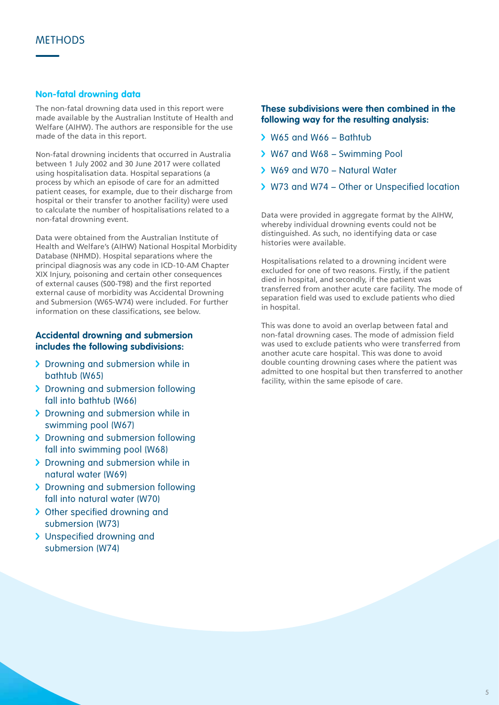### **Non-fatal drowning data**

The non-fatal drowning data used in this report were made available by the Australian Institute of Health and Welfare (AIHW). The authors are responsible for the use made of the data in this report.

Non-fatal drowning incidents that occurred in Australia between 1 July 2002 and 30 June 2017 were collated using hospitalisation data. Hospital separations (a process by which an episode of care for an admitted patient ceases, for example, due to their discharge from hospital or their transfer to another facility) were used to calculate the number of hospitalisations related to a non-fatal drowning event.

Data were obtained from the Australian Institute of Health and Welfare's (AIHW) National Hospital Morbidity Database (NHMD). Hospital separations where the principal diagnosis was any code in ICD-10-AM Chapter XIX Injury, poisoning and certain other consequences of external causes (S00-T98) and the first reported external cause of morbidity was Accidental Drowning and Submersion (W65-W74) were included. For further information on these classifications, see below.

#### **Accidental drowning and submersion includes the following subdivisions:**

- > Drowning and submersion while in bathtub (W65)
- > Drowning and submersion following fall into bathtub (W66)
- > Drowning and submersion while in swimming pool (W67)
- > Drowning and submersion following fall into swimming pool (W68)
- > Drowning and submersion while in natural water (W69)
- > Drowning and submersion following fall into natural water (W70)
- > Other specified drowning and submersion (W73)
- > Unspecified drowning and submersion (W74)

#### **These subdivisions were then combined in the following way for the resulting analysis:**

- W65 and W66 Bathtub
- W67 and W68 Swimming Pool
- W69 and W70 Natural Water
- > W73 and W74 Other or Unspecified location

Data were provided in aggregate format by the AIHW, whereby individual drowning events could not be distinguished. As such, no identifying data or case histories were available.

Hospitalisations related to a drowning incident were excluded for one of two reasons. Firstly, if the patient died in hospital, and secondly, if the patient was transferred from another acute care facility. The mode of separation field was used to exclude patients who died in hospital.

This was done to avoid an overlap between fatal and non-fatal drowning cases. The mode of admission field was used to exclude patients who were transferred from another acute care hospital. This was done to avoid double counting drowning cases where the patient was admitted to one hospital but then transferred to another facility, within the same episode of care.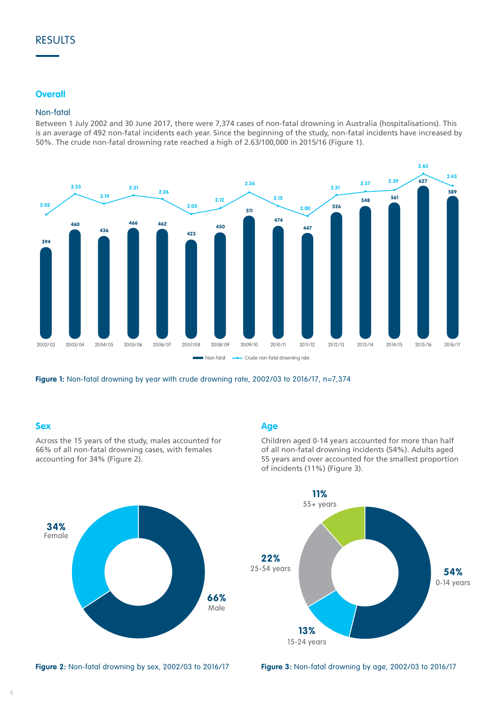# RESULTS

#### **Overall**

#### Non-fatal

Between 1 July 2002 and 30 June 2017, there were 7,374 cases of non-fatal drowning in Australia (hospitalisations). This is an average of 492 non-fatal incidents each year. Since the beginning of the study, non-fatal incidents have increased by 50%. The crude non-fatal drowning rate reached a high of 2.63/100,000 in 2015/16 (Figure 1).



**Figure 1:** Non-fatal drowning by year with crude drowning rate, 2002/03 to 2016/17, n=7,374

#### **Sex**



Across the 15 years of the study, males accounted for 66% of all non-fatal drowning cases, with females accounting for 34% (Figure 2).

#### **Age**

Children aged 0-14 years accounted for more than half of all non-fatal drowning incidents (54%). Adults aged 55 years and over accounted for the smallest proportion of incidents (11%) (Figure 3).



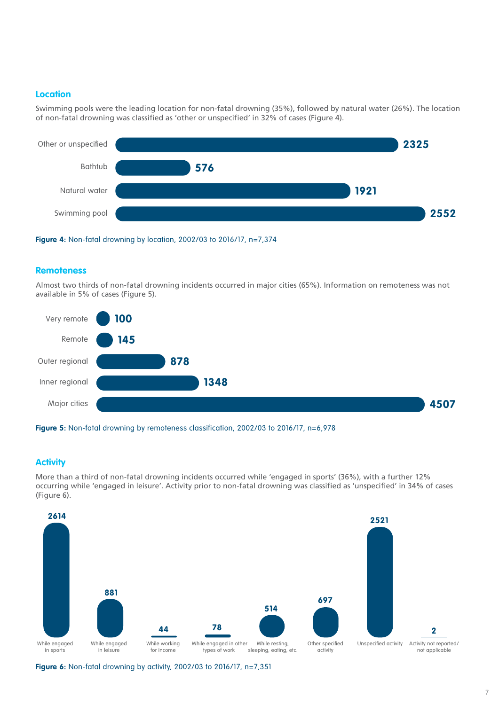#### **Location**

Swimming pools were the leading location for non-fatal drowning (35%), followed by natural water (26%). The location of non-fatal drowning was classified as 'other or unspecified' in 32% of cases (Figure 4).



![](_page_6_Figure_3.jpeg)

#### **Remoteness**

Almost two thirds of non-fatal drowning incidents occurred in major cities (65%). Information on remoteness was not available in 5% of cases (Figure 5).

![](_page_6_Figure_6.jpeg)

![](_page_6_Figure_7.jpeg)

## **Activity**

More than a third of non-fatal drowning incidents occurred while 'engaged in sports' (36%), with a further 12% occurring while 'engaged in leisure'. Activity prior to non-fatal drowning was classified as 'unspecified' in 34% of cases (Figure 6).

![](_page_6_Figure_10.jpeg)

**Figure 6:** Non-fatal drowning by activity, 2002/03 to 2016/17, n=7,351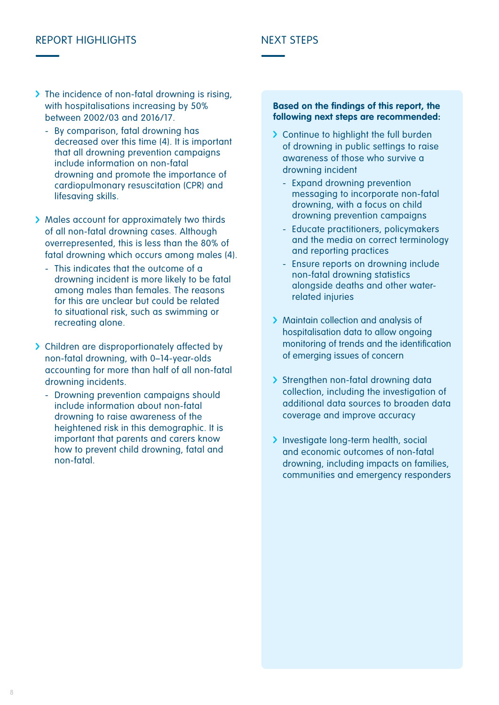# REPORT HIGHLIGHTS NEXT STEPS

- > The incidence of non-fatal drowning is rising, with hospitalisations increasing by 50% between 2002/03 and 2016/17.
	- By comparison, fatal drowning has decreased over this time (4). It is important that all drowning prevention campaigns include information on non-fatal drowning and promote the importance of cardiopulmonary resuscitation (CPR) and lifesaving skills.
- > Males account for approximately two thirds of all non-fatal drowning cases. Although overrepresented, this is less than the 80% of fatal drowning which occurs among males (4).
	- This indicates that the outcome of a drowning incident is more likely to be fatal among males than females. The reasons for this are unclear but could be related to situational risk, such as swimming or recreating alone.
- > Children are disproportionately affected by non-fatal drowning, with 0–14-year-olds accounting for more than half of all non-fatal drowning incidents.
	- Drowning prevention campaigns should include information about non-fatal drowning to raise awareness of the heightened risk in this demographic. It is important that parents and carers know how to prevent child drowning, fatal and non-fatal.

#### **Based on the findings of this report, the following next steps are recommended:**

- > Continue to highlight the full burden of drowning in public settings to raise awareness of those who survive a drowning incident
	- Expand drowning prevention messaging to incorporate non-fatal drowning, with a focus on child drowning prevention campaigns
	- Educate practitioners, policymakers and the media on correct terminology and reporting practices
	- Ensure reports on drowning include non-fatal drowning statistics alongside deaths and other waterrelated injuries
- > Maintain collection and analysis of hospitalisation data to allow ongoing monitoring of trends and the identification of emerging issues of concern
- > Strengthen non-fatal drowning data collection, including the investigation of additional data sources to broaden data coverage and improve accuracy
- > Investigate long-term health, social and economic outcomes of non-fatal drowning, including impacts on families, communities and emergency responders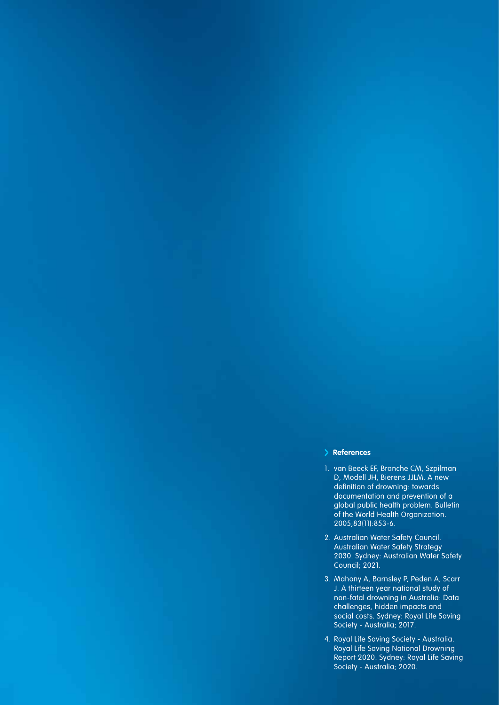#### **References**

- 1. van Beeck EF, Branche CM, Szpilman D, Modell JH, Bierens JJLM. A new definition of drowning: towards documentation and prevention of a global public health problem. Bulletin of the World Health Organization. 2005;83(11):853-6.
- 2. Australian Water Safety Council. Australian Water Safety Strategy 2030. Sydney: Australian Water Safety Council; 2021.
- 3. Mahony A, Barnsley P, Peden A, Scarr J. A thirteen year national study of non-fatal drowning in Australia: Data challenges, hidden impacts and social costs. Sydney: Royal Life Saving Society - Australia; 2017.
- 4. Royal Life Saving Society Australia. Royal Life Saving National Drowning Report 2020. Sydney: Royal Life Saving Society - Australia; 2020.